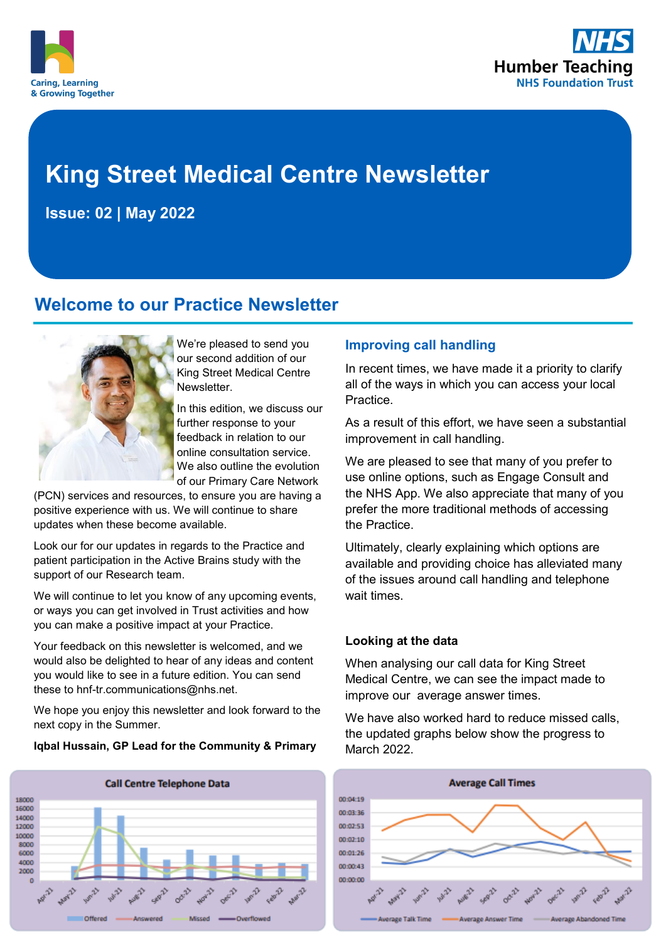



# **King Street Medical Centre Newsletter**

**Issue: 02 | May 2022**

# **Welcome to our Practice Newsletter**



We're pleased to send you our second addition of our King Street Medical Centre **Newsletter** 

In this edition, we discuss our further response to your feedback in relation to our online consultation service. We also outline the evolution of our Primary Care Network

(PCN) services and resources, to ensure you are having a positive experience with us. We will continue to share updates when these become available.

Look our for our updates in regards to the Practice and patient participation in the Active Brains study with the support of our Research team.

We will continue to let you know of any upcoming events, or ways you can get involved in Trust activities and how you can make a positive impact at your Practice.

Your feedback on this newsletter is welcomed, and we would also be delighted to hear of any ideas and content you would like to see in a future edition. You can send these to hnf-tr.communications@nhs.net.

We hope you enjoy this newsletter and look forward to the next copy in the Summer.

#### **Iqbal Hussain, GP Lead for the Community & Primary**



### **Improving call handling**

In recent times, we have made it a priority to clarify all of the ways in which you can access your local Practice.

As a result of this effort, we have seen a substantial improvement in call handling.

We are pleased to see that many of you prefer to use online options, such as Engage Consult and the NHS App. We also appreciate that many of you prefer the more traditional methods of accessing the Practice.

Ultimately, clearly explaining which options are available and providing choice has alleviated many of the issues around call handling and telephone wait times.

#### **Looking at the data**

When analysing our call data for King Street Medical Centre, we can see the impact made to improve our average answer times.

We have also worked hard to reduce missed calls. the updated graphs below show the progress to March 2022.

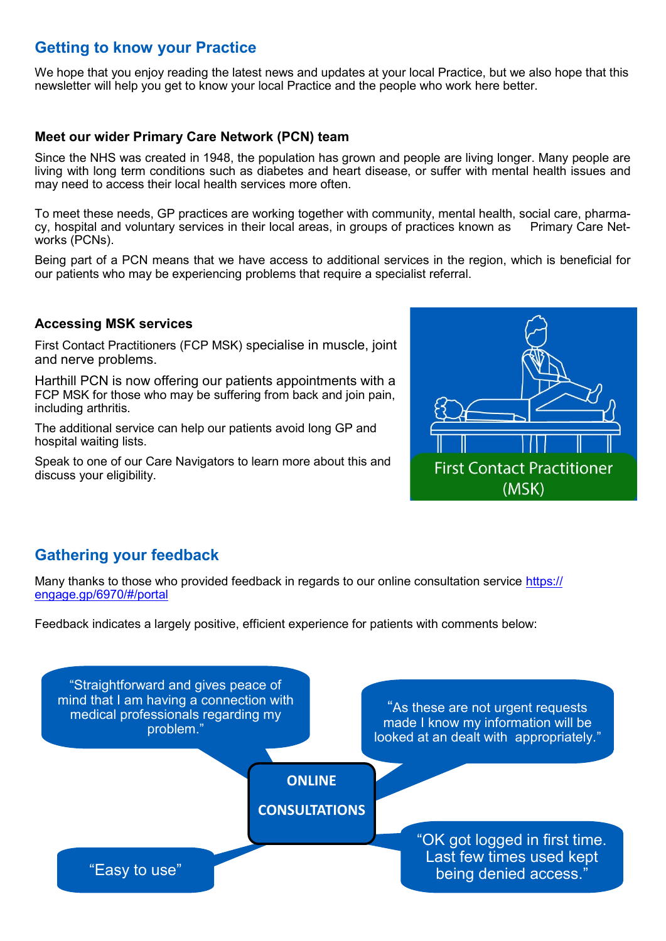# **Getting to know your Practice**

We hope that you enjoy reading the latest news and updates at your local Practice, but we also hope that this newsletter will help you get to know your local Practice and the people who work here better.

### **Meet our wider Primary Care Network (PCN) team**

Since the NHS was created in 1948, the population has grown and people are living longer. Many people are living with long term conditions such as diabetes and heart disease, or suffer with mental health issues and may need to access their local health services more often.

To meet these needs, GP practices are working together with community, mental health, social care, pharmacy, hospital and voluntary services in their local areas, in groups of practices known as Primary Care Networks (PCNs).

Being part of a PCN means that we have access to additional services in the region, which is beneficial for our patients who may be experiencing problems that require a specialist referral.

### **Accessing MSK services**

First Contact Practitioners (FCP MSK) specialise in muscle, joint and nerve problems.

Harthill PCN is now offering our patients appointments with a FCP MSK for those who may be suffering from back and join pain, including arthritis.

The additional service can help our patients avoid long GP and hospital waiting lists.

Speak to one of our Care Navigators to learn more about this and discuss your eligibility.



# **Gathering your feedback**

Many thanks to those who provided feedback in regards to our online consultation service [https://](https://engage.gp/6970/#/portal) [engage.gp/6970/#/portal](https://engage.gp/6970/#/portal)

Feedback indicates a largely positive, efficient experience for patients with comments below:

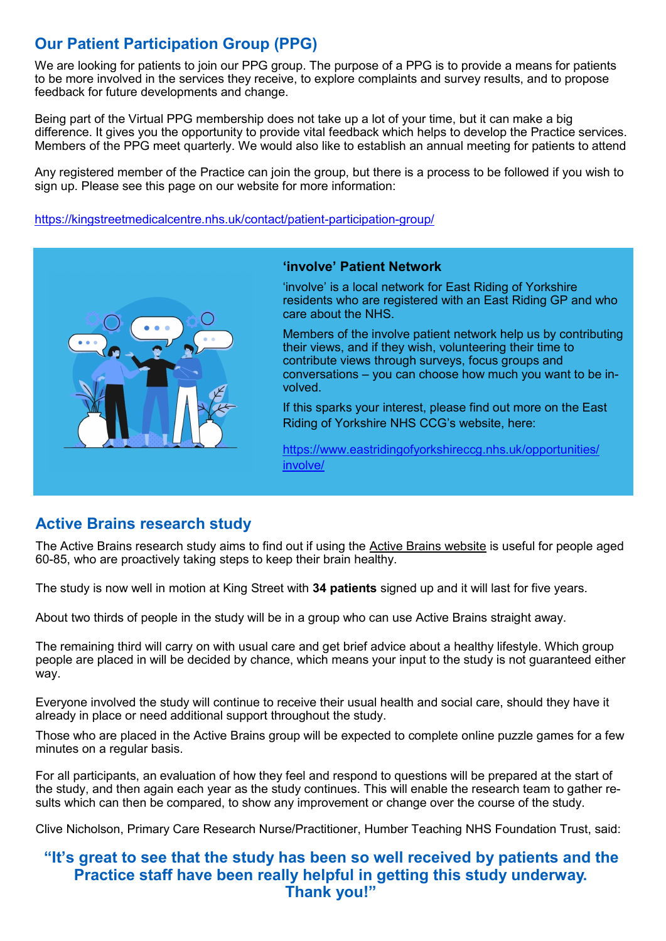# **Our Patient Participation Group (PPG)**

We are looking for patients to join our PPG group. The purpose of a PPG is to provide a means for patients to be more involved in the services they receive, to explore complaints and survey results, and to propose feedback for future developments and change.

Being part of the Virtual PPG membership does not take up a lot of your time, but it can make a big difference. It gives you the opportunity to provide vital feedback which helps to develop the Practice services. Members of the PPG meet quarterly. We would also like to establish an annual meeting for patients to attend

Any registered member of the Practice can join the group, but there is a process to be followed if you wish to sign up. Please see this page on our website for more information:

[https://kingstreetmedicalcentre.nhs.uk/contact/patient](https://kingstreetmedicalcentre.nhs.uk/contact/patient-participation-group/)-participation-group/



### **'involve' Patient Network**

'involve' is a local network for East Riding of Yorkshire residents who are registered with an East Riding GP and who care about the NHS.

Members of the involve patient network help us by contributing their views, and if they wish, volunteering their time to contribute views through surveys, focus groups and conversations – you can choose how much you want to be involved.

If this sparks your interest, please find out more on the East Riding of Yorkshire NHS CCG's website, here:

[https://www.eastridingofyorkshireccg.nhs.uk/opportunities/](https://www.eastridingofyorkshireccg.nhs.uk/opportunities/involve/) [involve/](https://www.eastridingofyorkshireccg.nhs.uk/opportunities/involve/)

# **Active Brains research study**

The Active Brains research study aims to find out if using the [Active Brains website](https://www.activebrains.online/) is useful for people aged 60-85, who are proactively taking steps to keep their brain healthy.

The study is now well in motion at King Street with **34 patients** signed up and it will last for five years.

About two thirds of people in the study will be in a group who can use Active Brains straight away.

The remaining third will carry on with usual care and get brief advice about a healthy lifestyle. Which group people are placed in will be decided by chance, which means your input to the study is not guaranteed either way.

Everyone involved the study will continue to receive their usual health and social care, should they have it already in place or need additional support throughout the study.

Those who are placed in the Active Brains group will be expected to complete online puzzle games for a few minutes on a regular basis.

For all participants, an evaluation of how they feel and respond to questions will be prepared at the start of the study, and then again each year as the study continues. This will enable the research team to gather results which can then be compared, to show any improvement or change over the course of the study.

Clive Nicholson, Primary Care Research Nurse/Practitioner, Humber Teaching NHS Foundation Trust, said:

### **"It's great to see that the study has been so well received by patients and the Practice staff have been really helpful in getting this study underway. Thank you!"**